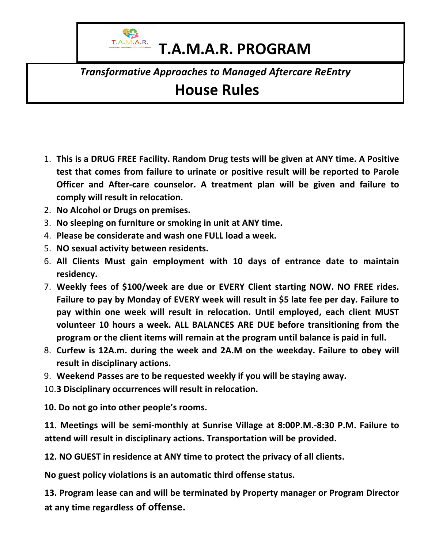

## **T.A.M.A.R. PROGRAM**

*Transformative Approaches to Managed Aftercare ReEntry*

## **House Rules**

- 1. This is a DRUG FREE Facility. Random Drug tests will be given at ANY time. A Positive **test that comes from failure to urinate or positive result will be reported to Parole Officer and After-care counselor. A treatment plan will be given and failure to** comply will result in relocation.
- 2. **No Alcohol or Drugs on premises.**
- 3. **No sleeping on furniture or smoking in unit at ANY time.**
- 4. **Please be considerate and wash one FULL load a week.**
- 5. **NO sexual activity between residents.**
- 6. All Clients Must gain employment with 10 days of entrance date to maintain **residency.**
- 7. Weekly fees of \$100/week are due or EVERY Client starting NOW. NO FREE rides. Failure to pay by Monday of EVERY week will result in \$5 late fee per day. Failure to pay within one week will result in relocation. Until employed, each client MUST volunteer 10 hours a week. ALL BALANCES ARE DUE before transitioning from the program or the client items will remain at the program until balance is paid in full.
- 8. Curfew is 12A.m. during the week and 2A.M on the weekday. Failure to obey will **result in disciplinary actions.**
- 9. Weekend Passes are to be requested weekly if you will be staying away.
- 10.3 Disciplinary occurrences will result in relocation.

10. Do not go into other people's rooms.

**11. Meetings will be semi-monthly at Sunrise Village at 8:00P.M.-8:30 P.M. Failure to** attend will result in disciplinary actions. Transportation will be provided.

**12. NO GUEST** in residence at ANY time to protect the privacy of all clients.

No guest policy violations is an automatic third offense status.

**13. Program lease can and will be terminated by Property manager or Program Director at any time regardless of offense.**